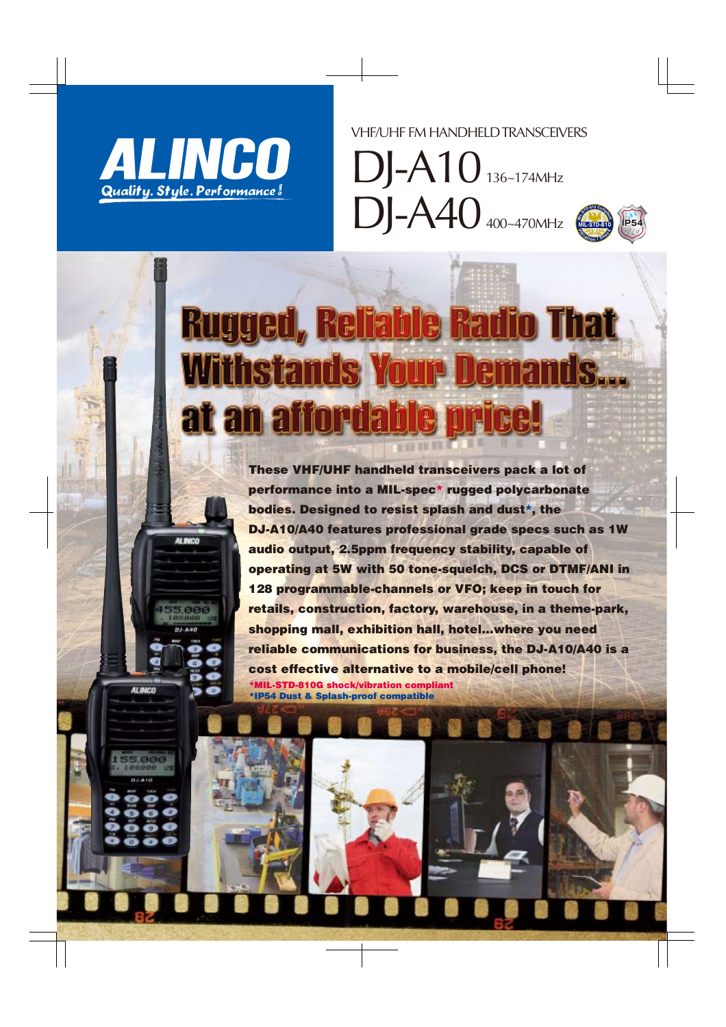

**AL INCO** 

**ALINCO** 

VHF/UHF FM HANDHELD TRANSCEIVERS

DJ-A10 136~174MHz DJ-A40 400~470MHz



# **Rugged, Reliable Radio That Withstands Your Demands...** at an affordable

These VHF/UHF handheld transceivers pack a lot of performance into a MIL-spec\* rugged polycarbonate bodies. Designed to resist splash and dust\*, the DJ-A10/A40 features professional grade specs such as 1W audio output, 2.5ppm frequency stability, capable of operating at 5W with 50 tone-squelch, DCS or DTMF/ANI in 128 programmable-channels or VFO; keep in touch for retails, construction, factory, warehouse, in a theme-park, shopping mall, exhibition hall, hotel…where you need reliable communications for business, the DJ-A10/A40 is a cost effective alternative to a mobile/cell phone! \*MIL-STD-810G shock/vibration compliant \*IP54 Dust & Splash-proof compatible